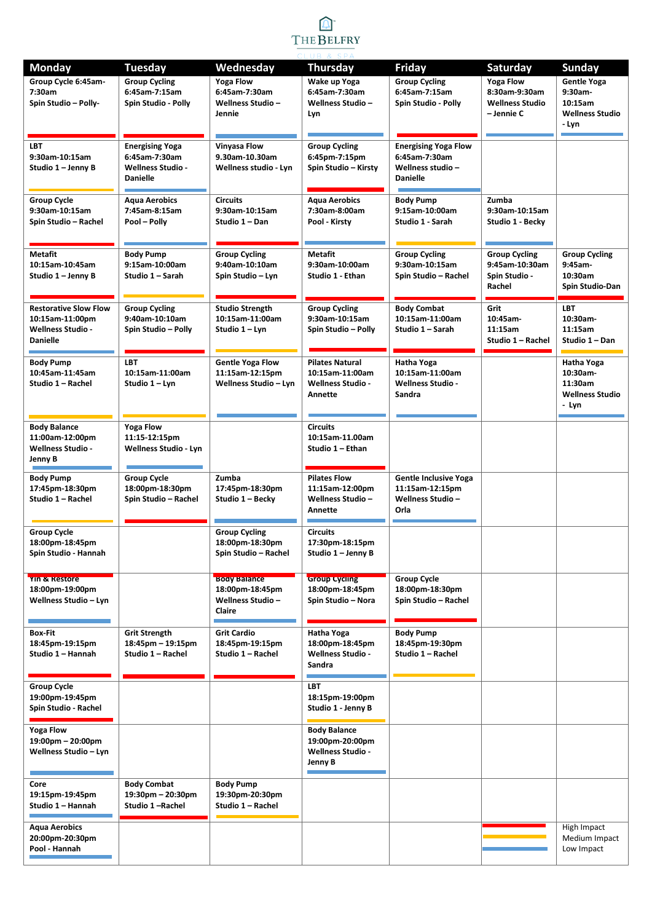

| <b>Monday</b>                                                                                  | <b>Tuesday</b>                                                                         | Wednesday                                                                    | <b>Thursday</b>                                                                  | Friday                                                                               | Saturday                                                                  | <b>Sunday</b>                                                        |
|------------------------------------------------------------------------------------------------|----------------------------------------------------------------------------------------|------------------------------------------------------------------------------|----------------------------------------------------------------------------------|--------------------------------------------------------------------------------------|---------------------------------------------------------------------------|----------------------------------------------------------------------|
| Group Cycle 6:45am-<br>7:30am<br>Spin Studio - Polly-                                          | <b>Group Cycling</b><br>6:45am-7:15am<br>Spin Studio - Polly                           | <b>Yoga Flow</b><br>6:45am-7:30am<br>Wellness Studio –<br>Jennie             | Wake up Yoga<br>6:45am-7:30am<br><b>Wellness Studio -</b><br>Lyn                 | <b>Group Cycling</b><br>6:45am-7:15am<br>Spin Studio - Polly                         | <b>Yoga Flow</b><br>8:30am-9:30am<br><b>Wellness Studio</b><br>- Jennie C | Gentle Yoga<br>9:30am-<br>10:15am<br><b>Wellness Studio</b><br>- Lyn |
| <b>LBT</b><br>9:30am-10:15am<br>Studio 1 - Jenny B                                             | <b>Energising Yoga</b><br>6:45am-7:30am<br><b>Wellness Studio -</b><br><b>Danielle</b> | <b>Vinyasa Flow</b><br>9.30am-10.30am<br>Wellness studio - Lyn               | <b>Group Cycling</b><br>6:45pm-7:15pm<br>Spin Studio - Kirsty                    | <b>Energising Yoga Flow</b><br>6:45am-7:30am<br>Wellness studio -<br><b>Danielle</b> |                                                                           |                                                                      |
| <b>Group Cycle</b><br>9:30am-10:15am<br>Spin Studio - Rachel                                   | <b>Agua Aerobics</b><br>7:45am-8:15am<br>Pool - Polly                                  | <b>Circuits</b><br>9:30am-10:15am<br>Studio 1 - Dan                          | <b>Agua Aerobics</b><br>7:30am-8:00am<br>Pool - Kirsty                           | <b>Body Pump</b><br>9:15am-10:00am<br>Studio 1 - Sarah                               | Zumba<br>9:30am-10:15am<br>Studio 1 - Becky                               |                                                                      |
| <b>Metafit</b><br>10:15am-10:45am<br>Studio 1 - Jenny B                                        | <b>Body Pump</b><br>9:15am-10:00am<br>Studio 1 - Sarah                                 | <b>Group Cycling</b><br>9:40am-10:10am<br>Spin Studio - Lyn                  | Metafit<br>9:30am-10:00am<br>Studio 1 - Ethan                                    | <b>Group Cycling</b><br>9:30am-10:15am<br>Spin Studio - Rachel                       | <b>Group Cycling</b><br>9:45am-10:30am<br>Spin Studio -<br>Rachel         | <b>Group Cycling</b><br>9:45am-<br>10:30am<br>Spin Studio-Dan        |
| <b>Restorative Slow Flow</b><br>10:15am-11:00pm<br><b>Wellness Studio -</b><br><b>Danielle</b> | <b>Group Cycling</b><br>9:40am-10:10am<br>Spin Studio - Polly                          | <b>Studio Strength</b><br>10:15am-11:00am<br>Studio 1 - Lyn                  | <b>Group Cycling</b><br>9:30am-10:15am<br>Spin Studio - Polly                    | <b>Body Combat</b><br>10:15am-11:00am<br>Studio 1 - Sarah                            | Grit<br>10:45am-<br>11:15am<br>Studio 1 - Rachel                          | <b>LBT</b><br>10:30am-<br>11:15am<br>Studio 1 - Dan                  |
| <b>Body Pump</b><br>10:45am-11:45am<br>Studio 1 - Rachel                                       | <b>LBT</b><br>10:15am-11:00am<br>Studio 1 - Lyn                                        | <b>Gentle Yoga Flow</b><br>11:15am-12:15pm<br><b>Wellness Studio - Lyn</b>   | <b>Pilates Natural</b><br>10:15am-11:00am<br><b>Wellness Studio -</b><br>Annette | Hatha Yoga<br>10:15am-11:00am<br><b>Wellness Studio -</b><br>Sandra                  |                                                                           | Hatha Yoga<br>10:30am-<br>11:30am<br><b>Wellness Studio</b><br>- Lyn |
| <b>Body Balance</b><br>11:00am-12:00pm<br><b>Wellness Studio -</b><br>Jenny B                  | <b>Yoga Flow</b><br>11:15-12:15pm<br><b>Wellness Studio - Lyn</b>                      |                                                                              | <b>Circuits</b><br>10:15am-11.00am<br>Studio 1 - Ethan                           |                                                                                      |                                                                           |                                                                      |
| <b>Body Pump</b><br>17:45pm-18:30pm<br>Studio 1 - Rachel                                       | <b>Group Cycle</b><br>18:00pm-18:30pm<br>Spin Studio - Rachel                          | Zumba<br>17:45pm-18:30pm<br>Studio 1 - Becky                                 | <b>Pilates Flow</b><br>11:15am-12:00pm<br><b>Wellness Studio -</b><br>Annette    | <b>Gentle Inclusive Yoga</b><br>11:15am-12:15pm<br><b>Wellness Studio -</b><br>Orla  |                                                                           |                                                                      |
| Group Cycle<br>18:00pm-18:45pm<br>Spin Studio - Hannah                                         |                                                                                        | <b>Group Cycling</b><br>18:00pm-18:30pm<br>Spin Studio - Rachel              | <b>Circuits</b><br>17:30pm-18:15pm<br>Studio 1 - Jenny B                         |                                                                                      |                                                                           |                                                                      |
| YIN & Restore<br>18:00pm-19:00pm<br>Wellness Studio - Lyn                                      |                                                                                        | <b>Body Balance</b><br>18:00pm-18:45pm<br><b>Wellness Studio -</b><br>Claire | <b>Group Cycling</b><br>18:00pm-18:45pm<br>Spin Studio - Nora                    | <b>Group Cycle</b><br>18:00pm-18:30pm<br>Spin Studio - Rachel                        |                                                                           |                                                                      |
| <b>Box-Fit</b><br>18:45pm-19:15pm<br>Studio 1 - Hannah                                         | <b>Grit Strength</b><br>$18:45$ pm - 19:15pm<br>Studio 1 - Rachel                      | <b>Grit Cardio</b><br>18:45pm-19:15pm<br>Studio 1 - Rachel                   | Hatha Yoga<br>18:00pm-18:45pm<br><b>Wellness Studio -</b><br>Sandra              | <b>Body Pump</b><br>18:45pm-19:30pm<br>Studio 1 - Rachel                             |                                                                           |                                                                      |
| <b>Group Cycle</b><br>19:00pm-19:45pm<br>Spin Studio - Rachel                                  |                                                                                        |                                                                              | <b>LBT</b><br>18:15pm-19:00pm<br>Studio 1 - Jenny B                              |                                                                                      |                                                                           |                                                                      |
| Yoga Flow<br>19:00pm - 20:00pm<br>Wellness Studio - Lyn                                        |                                                                                        |                                                                              | <b>Body Balance</b><br>19:00pm-20:00pm<br><b>Wellness Studio -</b><br>Jenny B    |                                                                                      |                                                                           |                                                                      |
| Core<br>19:15pm-19:45pm<br>Studio 1 - Hannah                                                   | <b>Body Combat</b><br>$19:30 \text{pm} - 20:30 \text{pm}$<br>Studio 1-Rachel           | <b>Body Pump</b><br>19:30pm-20:30pm<br>Studio 1 - Rachel                     |                                                                                  |                                                                                      |                                                                           |                                                                      |
| <b>Aqua Aerobics</b><br>20:00pm-20:30pm<br>Pool - Hannah                                       |                                                                                        |                                                                              |                                                                                  |                                                                                      |                                                                           | High Impact<br>Medium Impact<br>Low Impact                           |